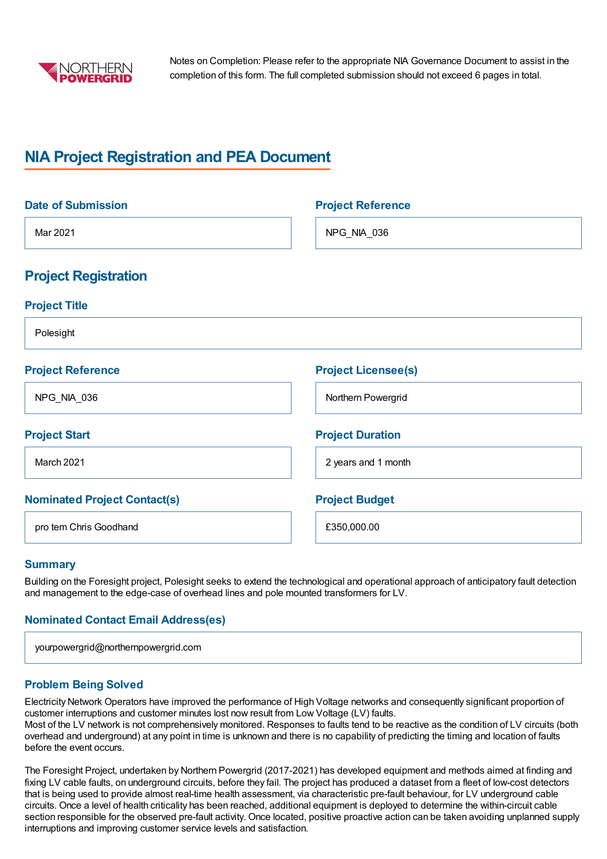

Notes on Completion: Please refer to the appropriate NIA Governance Document to assist in the completion of this form. The full completed submission should not exceed 6 pages in total.

# **NIA Project Registration and PEA Document**

| <b>Date of Submission</b>           | <b>Project Reference</b>   |
|-------------------------------------|----------------------------|
| Mar 2021                            | NPG_NIA_036                |
| <b>Project Registration</b>         |                            |
| <b>Project Title</b>                |                            |
| Polesight                           |                            |
| <b>Project Reference</b>            | <b>Project Licensee(s)</b> |
| NPG_NIA_036                         | Northern Powergrid         |
| <b>Project Start</b>                | <b>Project Duration</b>    |
| March 2021                          | 2 years and 1 month        |
| <b>Nominated Project Contact(s)</b> | <b>Project Budget</b>      |
| pro tem Chris Goodhand              | £350,000.00                |

## **Summary**

Building on the Foresight project, Polesight seeks to extend the technological and operational approach of anticipatory fault detection and management to the edge-case of overhead lines and pole mounted transformers for LV.

## **Nominated Contact Email Address(es)**

| yourpowergrid@northernpowergrid.com |  |
|-------------------------------------|--|
|                                     |  |

## **Problem Being Solved**

Electricity Network Operators have improved the performance of High Voltage networks and consequently significant proportion of customer interruptions and customer minutes lost now result from Low Voltage (LV) faults. Most of the LV network is not comprehensively monitored. Responses to faults tend to be reactive as the condition of LV circuits (both overhead and underground) at any point in time is unknown and there is no capability of predicting the timing and location of faults before the event occurs.

The Foresight Project, undertaken by Northern Powergrid (2017-2021) has developed equipment and methods aimed at finding and fixing LV cable faults, on underground circuits, before they fail. The project has produced a dataset from a fleet of low-cost detectors that is being used to provide almost real-time health assessment, via characteristic pre-fault behaviour, for LV underground cable circuits. Once a level of health criticality has been reached, additional equipment is deployed to determine the within-circuit cable section responsible for the observed pre-fault activity. Once located, positive proactive action can be taken avoiding unplanned supply interruptions and improving customer service levels and satisfaction.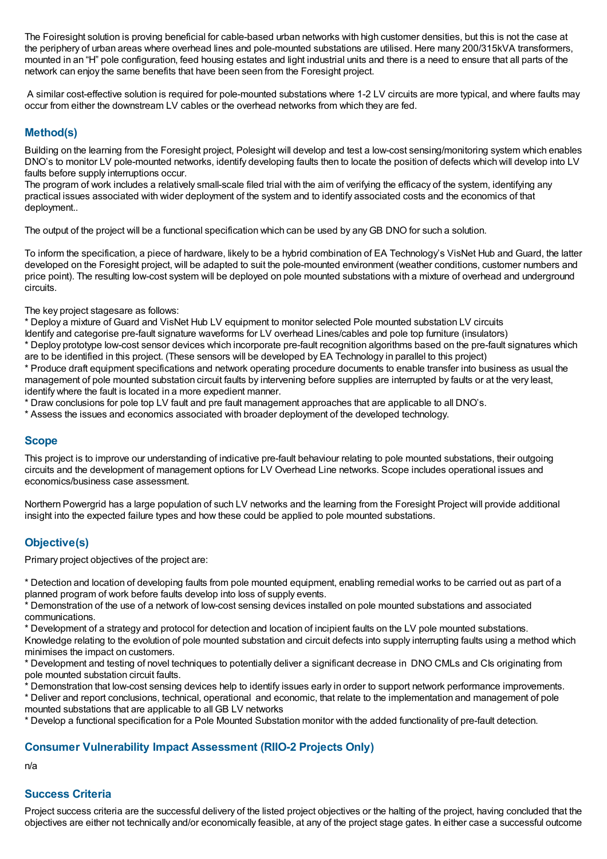The Foiresight solution is proving beneficial for cable-based urban networks with high customer densities, but this is not the case at the periphery of urban areas where overhead lines and pole-mounted substations are utilised. Here many 200/315kVA transformers, mounted in an "H" pole configuration, feed housing estates and light industrial units and there is a need to ensure that all parts of the network can enjoy the same benefits that have been seen from the Foresight project.

A similar cost-effective solution is required for pole-mounted substations where 1-2 LV circuits are more typical, and where faults may occur from either the downstream LV cables or the overhead networks from which they are fed.

## **Method(s)**

Building on the learning from the Foresight project, Polesight will develop and test a low-cost sensing/monitoring system which enables DNO's to monitor LV pole-mounted networks, identify developing faults then to locate the position of defects which will develop into LV faults before supply interruptions occur.

The program of work includes a relatively small-scale filed trial with the aim of verifying the efficacy of the system, identifying any practical issues associated with wider deployment of the system and to identify associated costs and the economics of that deployment..

The output of the project will be a functional specification which can be used by any GB DNO for such a solution.

To inform the specification, a piece of hardware, likely to be a hybrid combination of EA Technology's VisNet Hub and Guard, the latter developed on the Foresight project, will be adapted to suit the pole-mounted environment (weather conditions, customer numbers and price point). The resulting low-cost system will be deployed on pole mounted substations with a mixture of overhead and underground circuits.

The key project stagesare as follows:

\* Deploy a mixture of Guard and VisNet Hub LV equipment to monitor selected Pole mounted substation LV circuits Identify and categorise pre-fault signature waveforms for LV overhead Lines/cables and pole top furniture (insulators)

\* Deploy prototype low-cost sensor devices which incorporate pre-fault recognition algorithms based on the pre-fault signatures which are to be identified in this project. (These sensors will be developed by EA Technology in parallel to this project)

\* Produce draft equipment specifications and network operating procedure documents to enable transfer into business as usual the management of pole mounted substation circuit faults by intervening before supplies are interrupted by faults or at the very least, identify where the fault is located in a more expedient manner.

\* Draw conclusions for pole top LV fault and pre fault management approaches that are applicable to all DNO's.

\* Assess the issues and economics associated with broader deployment of the developed technology.

## **Scope**

This project is to improve our understanding of indicative pre-fault behaviour relating to pole mounted substations, their outgoing circuits and the development of management options for LV Overhead Line networks. Scope includes operational issues and economics/business case assessment.

Northern Powergrid has a large population of such LV networks and the learning from the Foresight Project will provide additional insight into the expected failure types and how these could be applied to pole mounted substations.

## **Objective(s)**

Primary project objectives of the project are:

\* Detection and location of developing faults from pole mounted equipment, enabling remedial works to be carried out as part of a planned program of work before faults develop into loss of supply events.

\* Demonstration of the use of a network of low-cost sensing devices installed on pole mounted substations and associated communications.

\* Development of a strategy and protocol for detection and location of incipient faults on the LV pole mounted substations.

Knowledge relating to the evolution of pole mounted substation and circuit defects into supply interrupting faults using a method which minimises the impact on customers.

\* Development and testing of novel techniques to potentially deliver a significant decrease in DNO CMLs and CIs originating from pole mounted substation circuit faults.

\* Demonstration that low-cost sensing devices help to identify issues early in order to support network performance improvements.

\* Deliver and report conclusions, technical, operational and economic, that relate to the implementation and management of pole mounted substations that are applicable to all GB LV networks

\* Develop a functional specification for a Pole Mounted Substation monitor with the added functionality of pre-fault detection.

#### **Consumer Vulnerability Impact Assessment (RIIO-2 Projects Only)**

n/a

## **Success Criteria**

Project success criteria are the successful delivery of the listed project objectives or the halting of the project, having concluded that the objectives are either not technically and/or economically feasible, at any of the project stage gates. In either case a successful outcome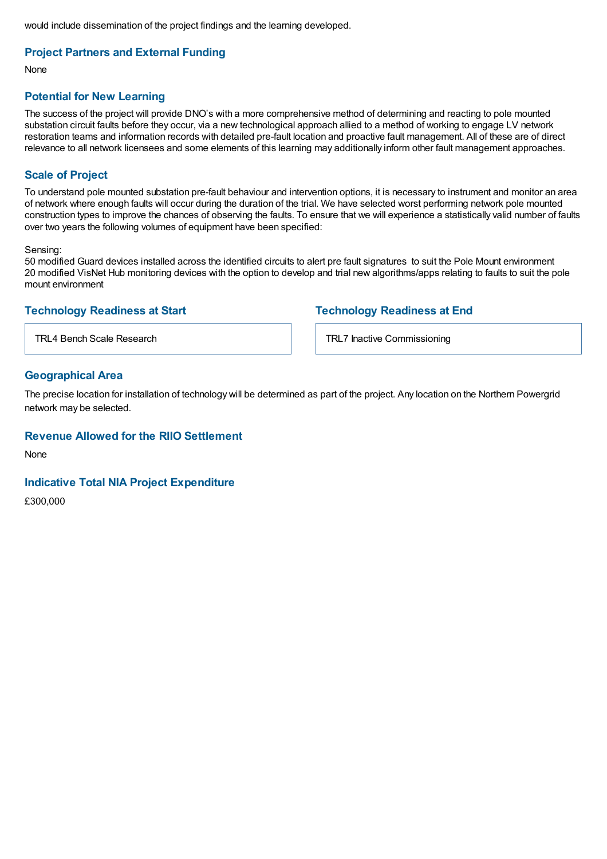would include dissemination of the project findings and the learning developed.

## **Project Partners and External Funding**

None

#### **Potential for New Learning**

The success of the project will provide DNO's with a more comprehensive method of determining and reacting to pole mounted substation circuit faults before they occur, via a new technological approach allied to a method of working to engage LV network restoration teams and information records with detailed pre-fault location and proactive fault management. All of these are of direct relevance to all network licensees and some elements of this learning may additionally inform other fault management approaches.

#### **Scale of Project**

To understand pole mounted substation pre-fault behaviour and intervention options, it is necessary to instrument and monitor an area of network where enough faults will occur during the duration of the trial. We have selected worst performing network pole mounted construction types to improve the chances of observing the faults. To ensure that we will experience a statistically valid number of faults over two years the following volumes of equipment have been specified:

Sensing:

50 modified Guard devices installed across the identified circuits to alert pre fault signatures to suit the Pole Mount environment 20 modified VisNet Hub monitoring devices with the option to develop and trial new algorithms/apps relating to faults to suit the pole mount environment

### **Technology Readiness at Start**

**Technology Readiness at End**

TRL4 Bench Scale Research

TRL7 Inactive Commissioning

#### **Geographical Area**

The precise location for installation of technology will be determined as part of the project. Any location on the Northern Powergrid network may be selected.

#### **Revenue Allowed for the RIIO Settlement**

None

#### **Indicative Total NIA Project Expenditure**

£300,000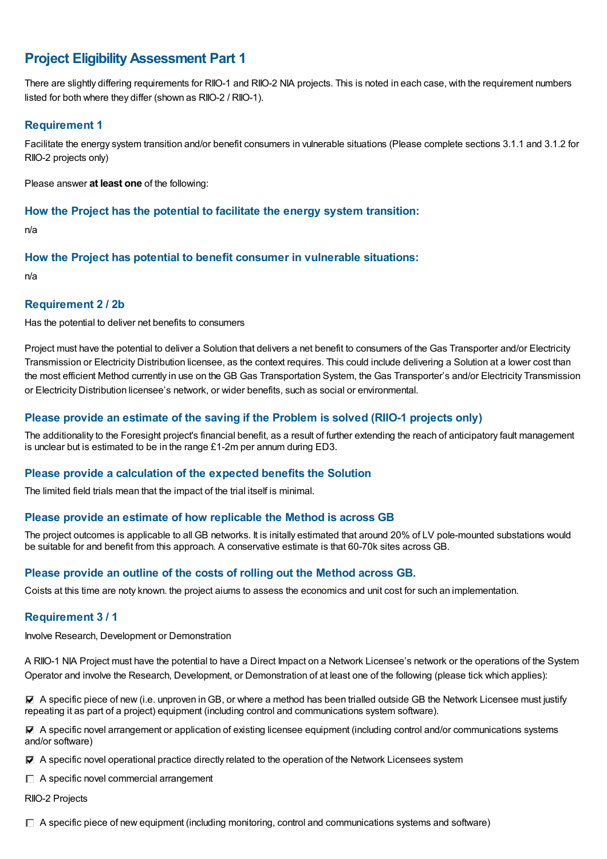## **Project EligibilityAssessment Part 1**

There are slightly differing requirements for RIIO-1 and RIIO-2 NIA projects. This is noted in each case, with the requirement numbers listed for both where they differ (shown as RIIO-2 / RIIO-1).

## **Requirement 1**

Facilitate the energy system transition and/or benefit consumers in vulnerable situations (Please complete sections 3.1.1 and 3.1.2 for RIIO-2 projects only)

Please answer **at least one** of the following:

#### **How the Project has the potential to facilitate the energy system transition:**

n/a

### **How the Project has potential to benefit consumer in vulnerable situations:**

n/a

### **Requirement 2 / 2b**

Has the potential to deliver net benefits to consumers

Project must have the potential to deliver a Solution that delivers a net benefit to consumers of the Gas Transporter and/or Electricity Transmission or Electricity Distribution licensee, as the context requires. This could include delivering a Solution at a lower cost than the most efficient Method currently in use on the GB Gas Transportation System, the Gas Transporter's and/or Electricity Transmission or Electricity Distribution licensee's network, or wider benefits, such as social or environmental.

## **Please provide an estimate of the saving if the Problem is solved (RIIO-1 projects only)**

The additionality to the Foresight project's financial benefit, as a result of further extending the reach of anticipatory fault management is unclear but is estimated to be in the range £1-2m per annum during ED3.

## **Please provide a calculation of the expected benefits the Solution**

The limited field trials mean that the impact of the trial itself is minimal.

#### **Please provide an estimate of how replicable the Method is across GB**

The project outcomes is applicable to all GB networks. It is initally estimated that around 20% of LV pole-mounted substations would be suitable for and benefit from this approach. A conservative estimate is that 60-70k sites across GB.

## **Please provide an outline of the costs of rolling out the Method across GB.**

Coists at this time are noty known. the project aiums to assess the economics and unit cost for such an implementation.

## **Requirement 3 / 1**

Involve Research, Development or Demonstration

A RIIO-1 NIA Project must have the potential to have a Direct Impact on a Network Licensee's network or the operations of the System Operator and involve the Research, Development, or Demonstration of at least one of the following (please tick which applies):

 $\blacktriangledown$  A specific piece of new (i.e. unproven in GB, or where a method has been trialled outside GB the Network Licensee must justify repeating it as part of a project) equipment (including control and communications system software).

A specific novel arrangement or application of existing licensee equipment (including control and/or communications systems and/or software)

A specific novel operational practice directly related to the operation of the Network Licensees system

 $\Box$  A specific novel commercial arrangement

RIIO-2 Projects

 $\Box$  A specific piece of new equipment (including monitoring, control and communications systems and software)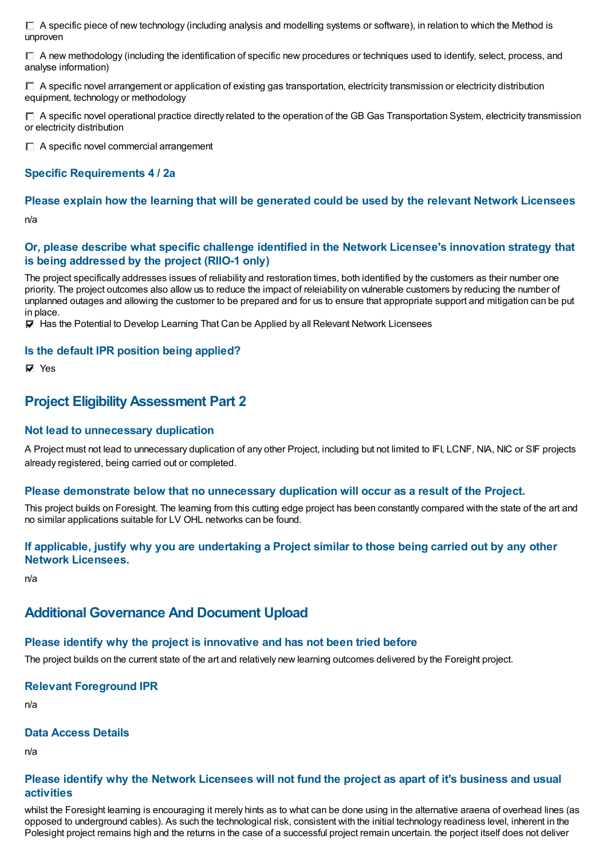$\Box$  A specific piece of new technology (including analysis and modelling systems or software), in relation to which the Method is unproven

 $\Box$  A new methodology (including the identification of specific new procedures or techniques used to identify, select, process, and analyse information)

 $\Box$  A specific novel arrangement or application of existing gas transportation, electricity transmission or electricity distribution equipment, technology or methodology

 $\Box$  A specific novel operational practice directly related to the operation of the GB Gas Transportation System, electricity transmission or electricity distribution

 $\Box$  A specific novel commercial arrangement

### **Specific Requirements 4 / 2a**

## **Please explain how the learning that will be generated could be used by the relevant Network Licensees**

n/a

#### **Or, please describe what specific challenge identified in the Network Licensee's innovation strategy that is being addressed by the project (RIIO-1 only)**

The project specifically addresses issues of reliability and restoration times, both identified by the customers as their number one priority. The project outcomes also allow us to reduce the impact of releiability on vulnerable customers by reducing the number of unplanned outages and allowing the customer to be prepared and for us to ensure that appropriate support and mitigation can be put in place.

 $\overline{V}$  Has the Potential to Develop Learning That Can be Applied by all Relevant Network Licensees

#### **Is the default IPR position being applied?**

**⊽** Yes

## **Project EligibilityAssessment Part 2**

#### **Not lead to unnecessary duplication**

A Project must not lead to unnecessary duplication of any other Project, including but not limited to IFI, LCNF, NIA, NIC or SIF projects already registered, being carried out or completed.

#### **Please demonstrate below that no unnecessary duplication will occur as a result of the Project.**

This project builds on Foresight. The learning from this cutting edge project has been constantly compared with the state of the art and no similar applications suitable for LV OHL networks can be found.

### If applicable, justify why you are undertaking a Project similar to those being carried out by any other **Network Licensees.**

n/a

## **Additional Governance And Document Upload**

#### **Please identify why the project is innovative and has not been tried before**

The project builds on the current state of the art and relatively new learning outcomes delivered by the Foreight project.

#### **Relevant Foreground IPR**

n/a

#### **Data Access Details**

n/a

#### Please identify why the Network Licensees will not fund the project as apart of it's business and usual **activities**

whilst the Foresight learning is encouraging it merely hints as to what can be done using in the alternative araena of overhead lines (as opposed to underground cables). As such the technological risk, consistent with the initial technology readiness level, inherent in the Polesight project remains high and the returns in the case of a successful project remain uncertain. the porject itself does not deliver